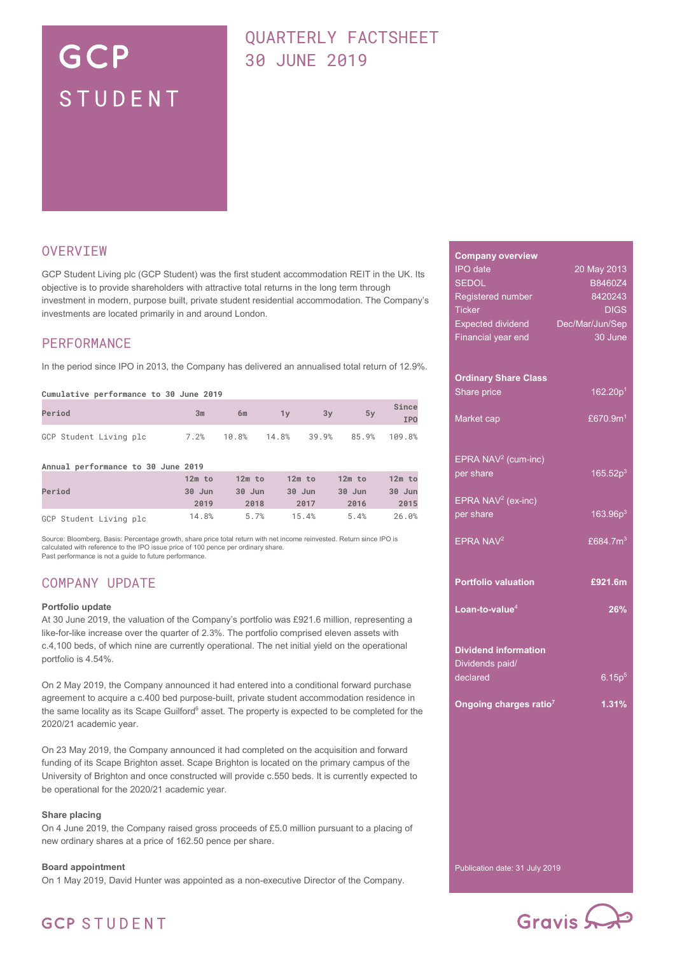# GCP STUDENT

# QUARTERLY FACTSHEET 30 JUNE 2019

### **OVERVIEW**

GCP Student Living plc (GCP Student) was the first student accommodation REIT in the UK. Its objective is to provide shareholders with attractive total returns in the long term through investment in modern, purpose built, private student residential accommodation. The Company's investments are located primarily in and around London.

### PERFORMANCE

In the period since IPO in 2013, the Company has delivered an annualised total return of 12.9%.

#### **Cumulative performance to 30 June 2019**

| Period                 | 3m | 6m                                  | 3v | 5v | Since<br><b>IPO</b> |
|------------------------|----|-------------------------------------|----|----|---------------------|
| GCP Student Living plc |    | 7.2% 10.8% 14.8% 39.9% 85.9% 109.8% |    |    |                     |

**Annual performance to 30 June 2019**

| Period                 | $12m$ to | $12m$ to | $12m$ to | $12m$ to | $12m$ to |
|------------------------|----------|----------|----------|----------|----------|
|                        | 30 Jun   | $30$ Jun | 30 Jun   | 30 Jun   | 30 Jun   |
|                        | 2019     | 2018     | 2017     | 2016     | 2015     |
| GCP Student Living plc | 14.8%    | 5.7%     | 15.4%    | 5.4%     | 26.0%    |

Source: Bloomberg. Basis: Percentage growth, share price total return with net income reinvested. Return since IPO is<br>calculated with reference to the IPO issue price of 100 pence per ordinary share. Past performance is not a guide to future performance

### COMPANY UPDATE

#### **Portfolio update**

At 30 June 2019, the valuation of the Company's portfolio was £921.6 million, representing a like-for-like increase over the quarter of 2.3%. The portfolio comprised eleven assets with c.4,100 beds, of which nine are currently operational. The net initial yield on the operational portfolio is 4.54%.

On 2 May 2019, the Company announced it had entered into a conditional forward purchase agreement to acquire a c.400 bed purpose-built, private student accommodation residence in the same locality as its Scape Guilford<sup>6</sup> asset. The property is expected to be completed for the 2020/21 academic year.

On 23 May 2019, the Company announced it had completed on the acquisition and forward funding of its Scape Brighton asset. Scape Brighton is located on the primary campus of the University of Brighton and once constructed will provide c.550 beds. It is currently expected to be operational for the 2020/21 academic year.

### **Share placing**

On 4 June 2019, the Company raised gross proceeds of £5.0 million pursuant to a placing of new ordinary shares at a price of 162.50 pence per share.

#### **Board appointment**

On 1 May 2019, David Hunter was appointed as a non-executive Director of the Company.

| <b>Company overview</b>            |                      |
|------------------------------------|----------------------|
| <b>IPO</b> date                    | 20 May 2013          |
| <b>SEDOL</b>                       | B8460Z4              |
| Registered number                  | 8420243              |
| <b>Ticker</b>                      | <b>DIGS</b>          |
| <b>Expected dividend</b>           | Dec/Mar/Jun/Sep      |
| Financial year end                 | 30 June              |
|                                    |                      |
|                                    |                      |
| <b>Ordinary Share Class</b>        |                      |
| Share price                        | 162.20p <sup>1</sup> |
|                                    |                      |
| Market cap                         | £670.9 $m1$          |
|                                    |                      |
|                                    |                      |
| EPRA NAV <sup>2</sup> (cum-inc)    |                      |
| per share                          | 165.52p <sup>3</sup> |
|                                    |                      |
| EPRA NAV <sup>2</sup> (ex-inc)     |                      |
| per share                          | 163.96p <sup>3</sup> |
|                                    |                      |
| EPRA NAV <sup>2</sup>              | £684.7m <sup>3</sup> |
|                                    |                      |
|                                    |                      |
| <b>Portfolio valuation</b>         | £921.6m              |
|                                    |                      |
| Loan-to-value <sup>4</sup>         | 26%                  |
|                                    |                      |
|                                    |                      |
| <b>Dividend information</b>        |                      |
| Dividends paid/                    |                      |
| declared                           | 6.15p <sup>5</sup>   |
|                                    |                      |
| Ongoing charges ratio <sup>7</sup> | 1.31%                |
|                                    |                      |
|                                    |                      |
|                                    |                      |
|                                    |                      |
|                                    |                      |
|                                    |                      |
|                                    |                      |
|                                    |                      |
|                                    |                      |
|                                    |                      |
|                                    |                      |

Publication date: 31 July 2019



# **GCP STUDENT**